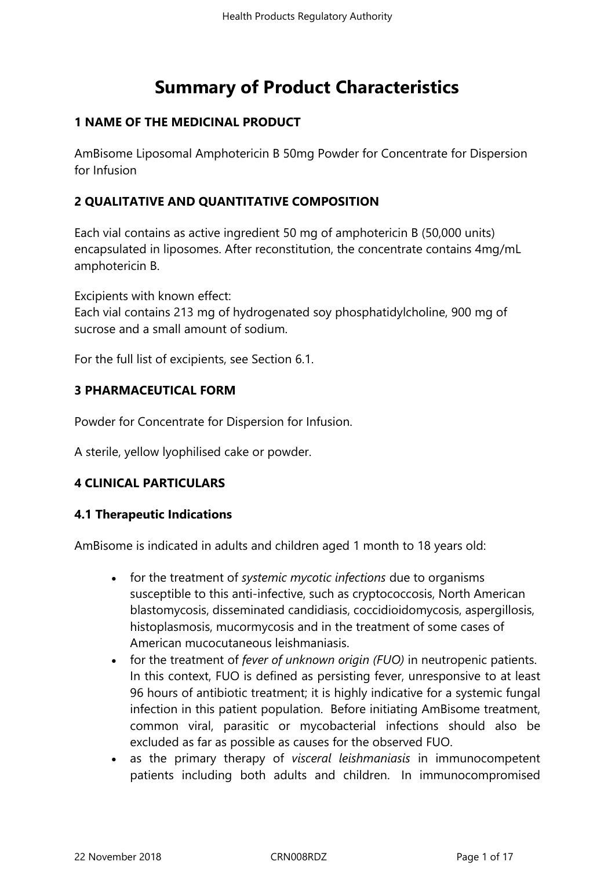# **Summary of Product Characteristics**

# **1 NAME OF THE MEDICINAL PRODUCT**

AmBisome Liposomal Amphotericin B 50mg Powder for Concentrate for Dispersion for Infusion

# **2 QUALITATIVE AND QUANTITATIVE COMPOSITION**

Each vial contains as active ingredient 50 mg of amphotericin B (50,000 units) encapsulated in liposomes. After reconstitution, the concentrate contains 4mg/mL amphotericin B.

Excipients with known effect:

Each vial contains 213 mg of hydrogenated soy phosphatidylcholine, 900 mg of sucrose and a small amount of sodium.

For the full list of excipients, see Section 6.1.

#### **3 PHARMACEUTICAL FORM**

Powder for Concentrate for Dispersion for Infusion.

A sterile, yellow lyophilised cake or powder.

# **4 CLINICAL PARTICULARS**

#### **4.1 Therapeutic Indications**

AmBisome is indicated in adults and children aged 1 month to 18 years old:

- for the treatment of *systemic mycotic infections* due to organisms susceptible to this anti-infective, such as cryptococcosis, North American blastomycosis, disseminated candidiasis, coccidioidomycosis, aspergillosis, histoplasmosis, mucormycosis and in the treatment of some cases of American mucocutaneous leishmaniasis.
- for the treatment of *fever of unknown origin (FUO)* in neutropenic patients. In this context, FUO is defined as persisting fever, unresponsive to at least 96 hours of antibiotic treatment; it is highly indicative for a systemic fungal infection in this patient population. Before initiating AmBisome treatment, common viral, parasitic or mycobacterial infections should also be excluded as far as possible as causes for the observed FUO.
- as the primary therapy of *visceral leishmaniasis* in immunocompetent patients including both adults and children. In immunocompromised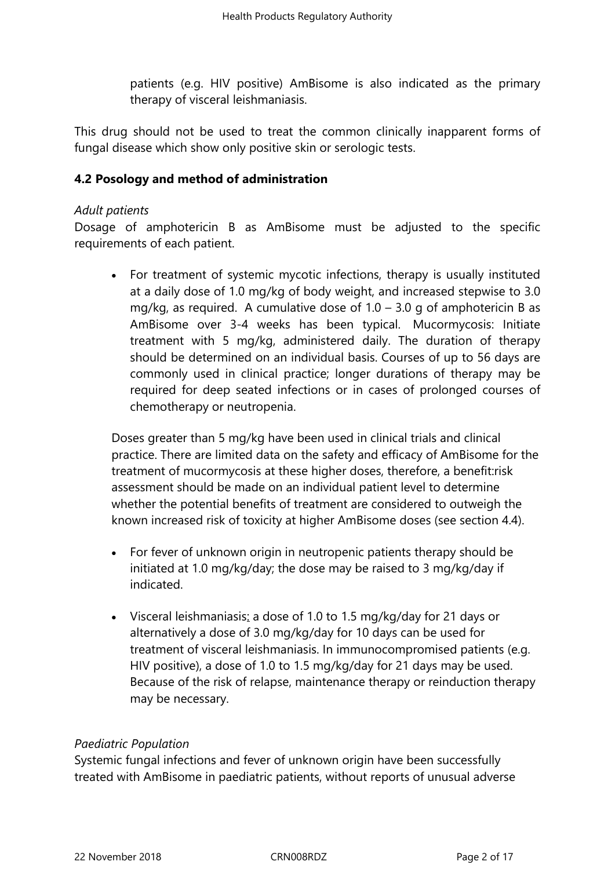patients (e.g. HIV positive) AmBisome is also indicated as the primary therapy of visceral leishmaniasis.

This drug should not be used to treat the common clinically inapparent forms of fungal disease which show only positive skin or serologic tests.

### **4.2 Posology and method of administration**

#### *Adult patients*

Dosage of amphotericin B as AmBisome must be adjusted to the specific requirements of each patient.

 For treatment of systemic mycotic infections, therapy is usually instituted at a daily dose of 1.0 mg/kg of body weight, and increased stepwise to 3.0 mg/kg, as required. A cumulative dose of  $1.0 - 3.0$  g of amphotericin B as AmBisome over 3-4 weeks has been typical. Mucormycosis: Initiate treatment with 5 mg/kg, administered daily. The duration of therapy should be determined on an individual basis. Courses of up to 56 days are commonly used in clinical practice; longer durations of therapy may be required for deep seated infections or in cases of prolonged courses of chemotherapy or neutropenia.

Doses greater than 5 mg/kg have been used in clinical trials and clinical practice. There are limited data on the safety and efficacy of AmBisome for the treatment of mucormycosis at these higher doses, therefore, a benefit:risk assessment should be made on an individual patient level to determine whether the potential benefits of treatment are considered to outweigh the known increased risk of toxicity at higher AmBisome doses (see section 4.4).

- For fever of unknown origin in neutropenic patients therapy should be initiated at 1.0 mg/kg/day; the dose may be raised to 3 mg/kg/day if indicated.
- Visceral leishmaniasis: a dose of 1.0 to 1.5 mg/kg/day for 21 days or alternatively a dose of 3.0 mg/kg/day for 10 days can be used for treatment of visceral leishmaniasis. In immunocompromised patients (e.g. HIV positive), a dose of 1.0 to 1.5 mg/kg/day for 21 days may be used. Because of the risk of relapse, maintenance therapy or reinduction therapy may be necessary.

#### *Paediatric Population*

Systemic fungal infections and fever of unknown origin have been successfully treated with AmBisome in paediatric patients, without reports of unusual adverse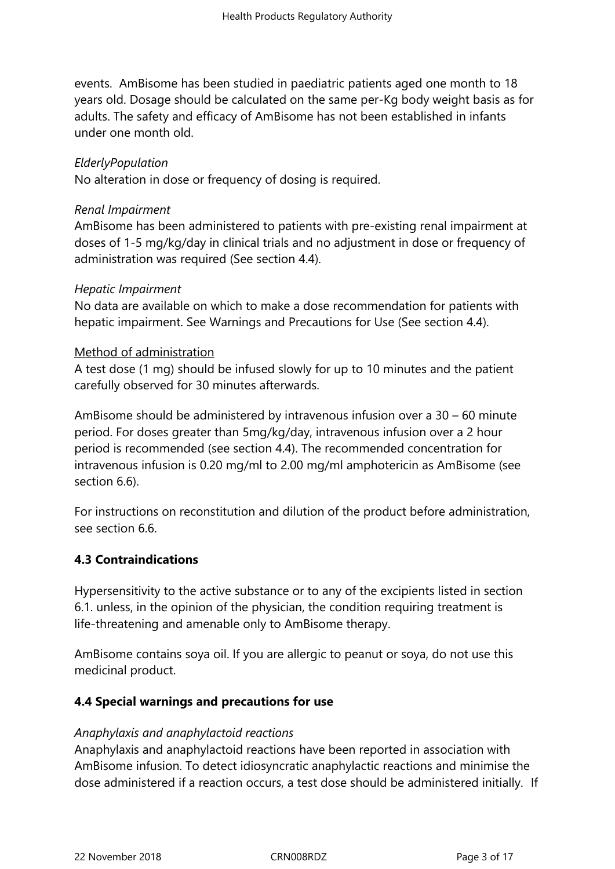events. AmBisome has been studied in paediatric patients aged one month to 18 years old. Dosage should be calculated on the same per-Kg body weight basis as for adults. The safety and efficacy of AmBisome has not been established in infants under one month old.

### *ElderlyPopulation*

No alteration in dose or frequency of dosing is required.

#### *Renal Impairment*

AmBisome has been administered to patients with pre-existing renal impairment at doses of 1-5 mg/kg/day in clinical trials and no adjustment in dose or frequency of administration was required (See section 4.4).

#### *Hepatic Impairment*

No data are available on which to make a dose recommendation for patients with hepatic impairment. See Warnings and Precautions for Use (See section 4.4).

#### Method of administration

A test dose (1 mg) should be infused slowly for up to 10 minutes and the patient carefully observed for 30 minutes afterwards.

AmBisome should be administered by intravenous infusion over a 30 – 60 minute period. For doses greater than 5mg/kg/day, intravenous infusion over a 2 hour period is recommended (see section 4.4). The recommended concentration for intravenous infusion is 0.20 mg/ml to 2.00 mg/ml amphotericin as AmBisome (see section 6.6).

For instructions on reconstitution and dilution of the product before administration, see section 6.6.

# **4.3 Contraindications**

Hypersensitivity to the active substance or to any of the excipients listed in section 6.1. unless, in the opinion of the physician, the condition requiring treatment is life-threatening and amenable only to AmBisome therapy.

AmBisome contains soya oil. If you are allergic to peanut or soya, do not use this medicinal product.

#### **4.4 Special warnings and precautions for use**

#### *Anaphylaxis and anaphylactoid reactions*

Anaphylaxis and anaphylactoid reactions have been reported in association with AmBisome infusion. To detect idiosyncratic anaphylactic reactions and minimise the dose administered if a reaction occurs, a test dose should be administered initially. If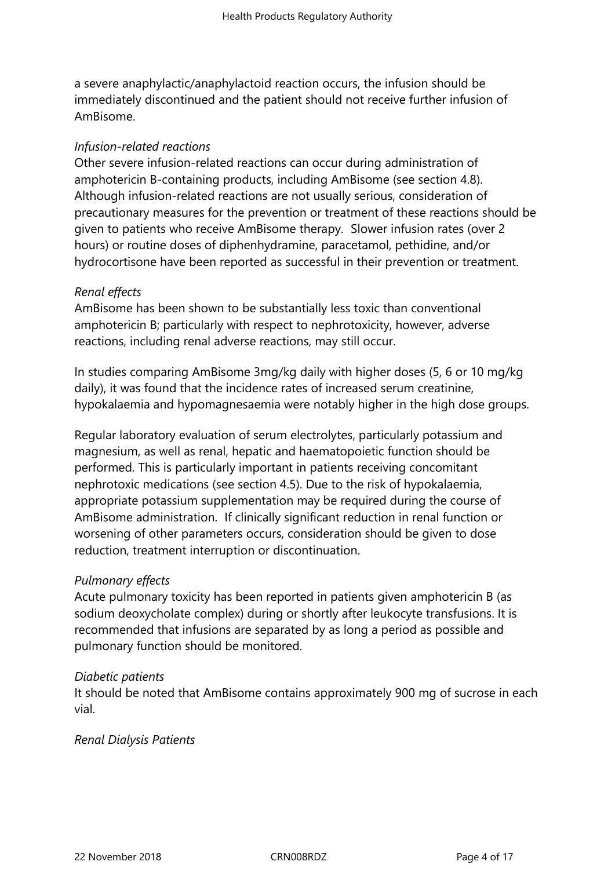a severe anaphylactic/anaphylactoid reaction occurs, the infusion should be immediately discontinued and the patient should not receive further infusion of AmBisome.

### *Infusion-related reactions*

Other severe infusion-related reactions can occur during administration of amphotericin B-containing products, including AmBisome (see section 4.8). Although infusion-related reactions are not usually serious, consideration of precautionary measures for the prevention or treatment of these reactions should be given to patients who receive AmBisome therapy. Slower infusion rates (over 2 hours) or routine doses of diphenhydramine, paracetamol, pethidine, and/or hydrocortisone have been reported as successful in their prevention or treatment.

### *Renal effects*

AmBisome has been shown to be substantially less toxic than conventional amphotericin B; particularly with respect to nephrotoxicity, however, adverse reactions, including renal adverse reactions, may still occur.

In studies comparing AmBisome 3mg/kg daily with higher doses (5, 6 or 10 mg/kg daily), it was found that the incidence rates of increased serum creatinine, hypokalaemia and hypomagnesaemia were notably higher in the high dose groups.

Regular laboratory evaluation of serum electrolytes, particularly potassium and magnesium, as well as renal, hepatic and haematopoietic function should be performed. This is particularly important in patients receiving concomitant nephrotoxic medications (see section 4.5). Due to the risk of hypokalaemia, appropriate potassium supplementation may be required during the course of AmBisome administration. If clinically significant reduction in renal function or worsening of other parameters occurs, consideration should be given to dose reduction, treatment interruption or discontinuation.

# *Pulmonary effects*

Acute pulmonary toxicity has been reported in patients given amphotericin B (as sodium deoxycholate complex) during or shortly after leukocyte transfusions. It is recommended that infusions are separated by as long a period as possible and pulmonary function should be monitored.

#### *Diabetic patients*

It should be noted that AmBisome contains approximately 900 mg of sucrose in each vial.

#### *Renal Dialysis Patients*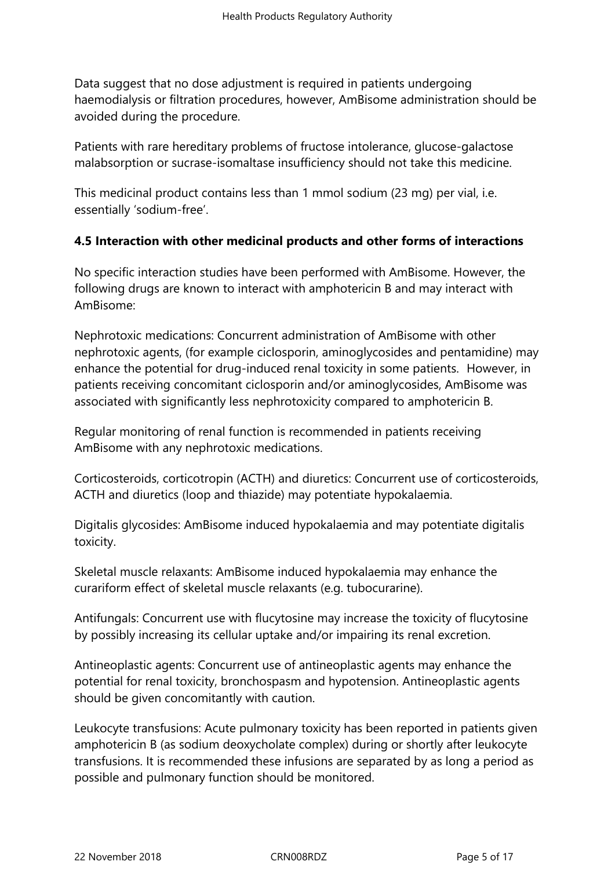Data suggest that no dose adjustment is required in patients undergoing haemodialysis or filtration procedures, however, AmBisome administration should be avoided during the procedure.

Patients with rare hereditary problems of fructose intolerance, glucose-galactose malabsorption or sucrase-isomaltase insufficiency should not take this medicine.

This medicinal product contains less than 1 mmol sodium (23 mg) per vial, i.e. essentially 'sodium-free'.

# **4.5 Interaction with other medicinal products and other forms of interactions**

No specific interaction studies have been performed with AmBisome. However, the following drugs are known to interact with amphotericin B and may interact with AmBisome:

Nephrotoxic medications: Concurrent administration of AmBisome with other nephrotoxic agents, (for example ciclosporin, aminoglycosides and pentamidine) may enhance the potential for drug-induced renal toxicity in some patients. However, in patients receiving concomitant ciclosporin and/or aminoglycosides, AmBisome was associated with significantly less nephrotoxicity compared to amphotericin B.

Regular monitoring of renal function is recommended in patients receiving AmBisome with any nephrotoxic medications.

Corticosteroids, corticotropin (ACTH) and diuretics: Concurrent use of corticosteroids, ACTH and diuretics (loop and thiazide) may potentiate hypokalaemia.

Digitalis glycosides: AmBisome induced hypokalaemia and may potentiate digitalis toxicity.

Skeletal muscle relaxants: AmBisome induced hypokalaemia may enhance the curariform effect of skeletal muscle relaxants (e.g. tubocurarine).

Antifungals: Concurrent use with flucytosine may increase the toxicity of flucytosine by possibly increasing its cellular uptake and/or impairing its renal excretion.

Antineoplastic agents: Concurrent use of antineoplastic agents may enhance the potential for renal toxicity, bronchospasm and hypotension. Antineoplastic agents should be given concomitantly with caution.

Leukocyte transfusions: Acute pulmonary toxicity has been reported in patients given amphotericin B (as sodium deoxycholate complex) during or shortly after leukocyte transfusions. It is recommended these infusions are separated by as long a period as possible and pulmonary function should be monitored.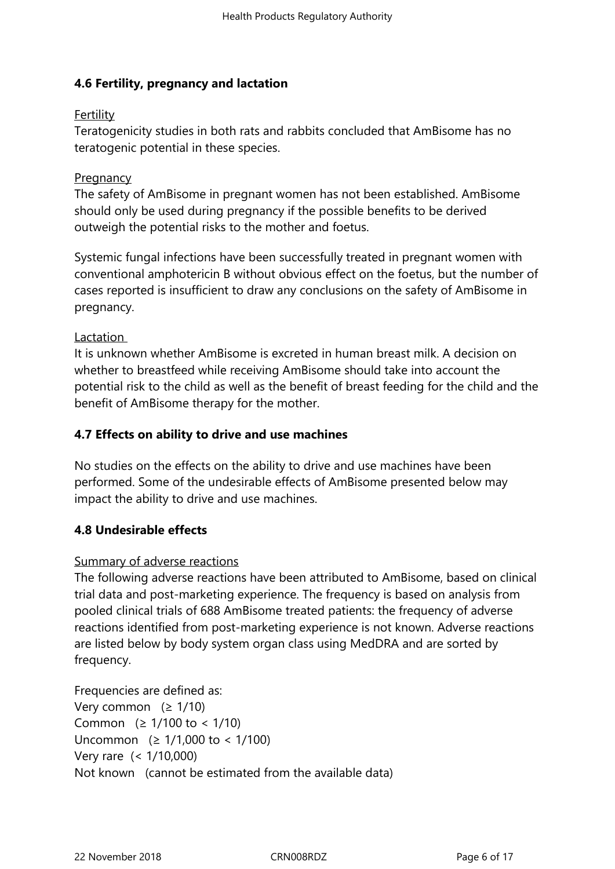# **4.6 Fertility, pregnancy and lactation**

## **Fertility**

Teratogenicity studies in both rats and rabbits concluded that AmBisome has no teratogenic potential in these species.

### **Pregnancy**

The safety of AmBisome in pregnant women has not been established. AmBisome should only be used during pregnancy if the possible benefits to be derived outweigh the potential risks to the mother and foetus.

Systemic fungal infections have been successfully treated in pregnant women with conventional amphotericin B without obvious effect on the foetus, but the number of cases reported is insufficient to draw any conclusions on the safety of AmBisome in pregnancy.

### Lactation

It is unknown whether AmBisome is excreted in human breast milk. A decision on whether to breastfeed while receiving AmBisome should take into account the potential risk to the child as well as the benefit of breast feeding for the child and the benefit of AmBisome therapy for the mother.

## **4.7 Effects on ability to drive and use machines**

No studies on the effects on the ability to drive and use machines have been performed. Some of the undesirable effects of AmBisome presented below may impact the ability to drive and use machines.

# **4.8 Undesirable effects**

#### Summary of adverse reactions

The following adverse reactions have been attributed to AmBisome, based on clinical trial data and post-marketing experience. The frequency is based on analysis from pooled clinical trials of 688 AmBisome treated patients: the frequency of adverse reactions identified from post-marketing experience is not known. Adverse reactions are listed below by body system organ class using MedDRA and are sorted by frequency.

Frequencies are defined as: Very common  $(≥ 1/10)$ Common  $(≥ 1/100$  to < 1/10) Uncommon (≥ 1/1,000 to < 1/100) Very rare (< 1/10,000) Not known (cannot be estimated from the available data)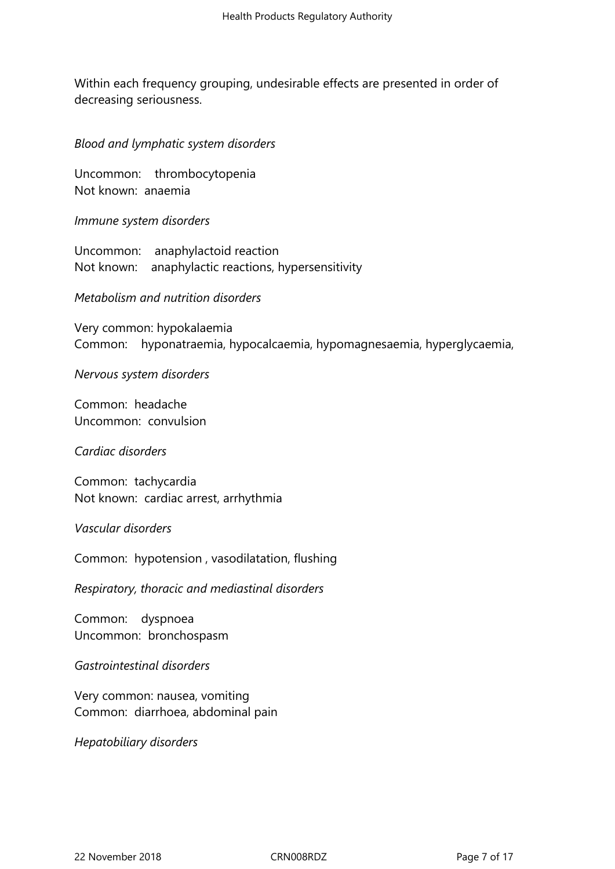Within each frequency grouping, undesirable effects are presented in order of decreasing seriousness.

*Blood and lymphatic system disorders* 

Uncommon: thrombocytopenia Not known: anaemia

*Immune system disorders* 

Uncommon: anaphylactoid reaction Not known: anaphylactic reactions, hypersensitivity

*Metabolism and nutrition disorders* 

Very common: hypokalaemia Common: hyponatraemia, hypocalcaemia, hypomagnesaemia, hyperglycaemia,

*Nervous system disorders* 

Common: headache Uncommon: convulsion

*Cardiac disorders* 

Common: tachycardia Not known: cardiac arrest, arrhythmia

*Vascular disorders* 

Common: hypotension , vasodilatation, flushing

*Respiratory, thoracic and mediastinal disorders* 

Common: dyspnoea Uncommon: bronchospasm

*Gastrointestinal disorders* 

Very common: nausea, vomiting Common: diarrhoea, abdominal pain

*Hepatobiliary disorders*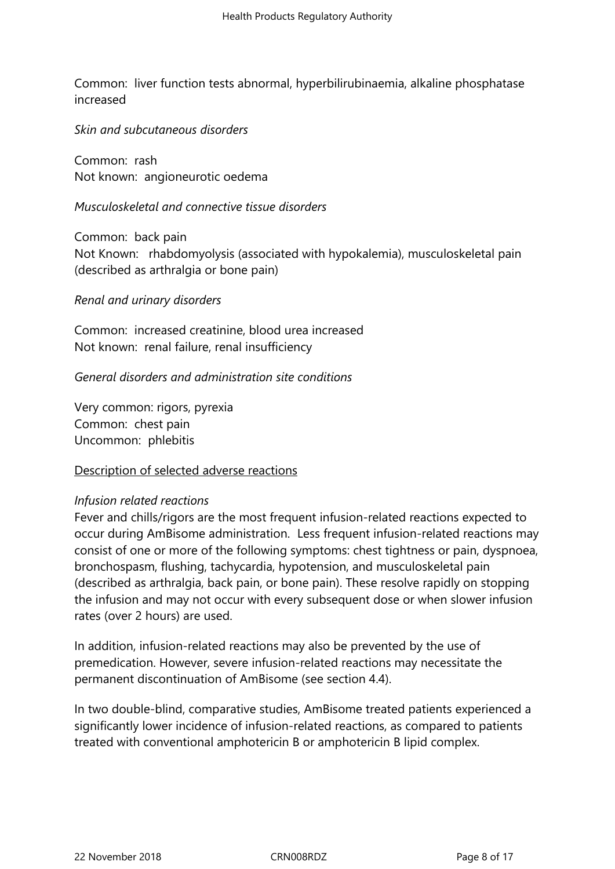Common: liver function tests abnormal, hyperbilirubinaemia, alkaline phosphatase increased

*Skin and subcutaneous disorders* 

Common: rash Not known: angioneurotic oedema

#### *Musculoskeletal and connective tissue disorders*

Common: back pain Not Known: rhabdomyolysis (associated with hypokalemia), musculoskeletal pain (described as arthralgia or bone pain)

#### *Renal and urinary disorders*

Common: increased creatinine, blood urea increased Not known: renal failure, renal insufficiency

*General disorders and administration site conditions* 

Very common: rigors, pyrexia Common: chest pain Uncommon: phlebitis

Description of selected adverse reactions

#### *Infusion related reactions*

Fever and chills/rigors are the most frequent infusion-related reactions expected to occur during AmBisome administration. Less frequent infusion-related reactions may consist of one or more of the following symptoms: chest tightness or pain, dyspnoea, bronchospasm, flushing, tachycardia, hypotension, and musculoskeletal pain (described as arthralgia, back pain, or bone pain). These resolve rapidly on stopping the infusion and may not occur with every subsequent dose or when slower infusion rates (over 2 hours) are used.

In addition, infusion-related reactions may also be prevented by the use of premedication. However, severe infusion-related reactions may necessitate the permanent discontinuation of AmBisome (see section 4.4).

In two double-blind, comparative studies, AmBisome treated patients experienced a significantly lower incidence of infusion-related reactions, as compared to patients treated with conventional amphotericin B or amphotericin B lipid complex.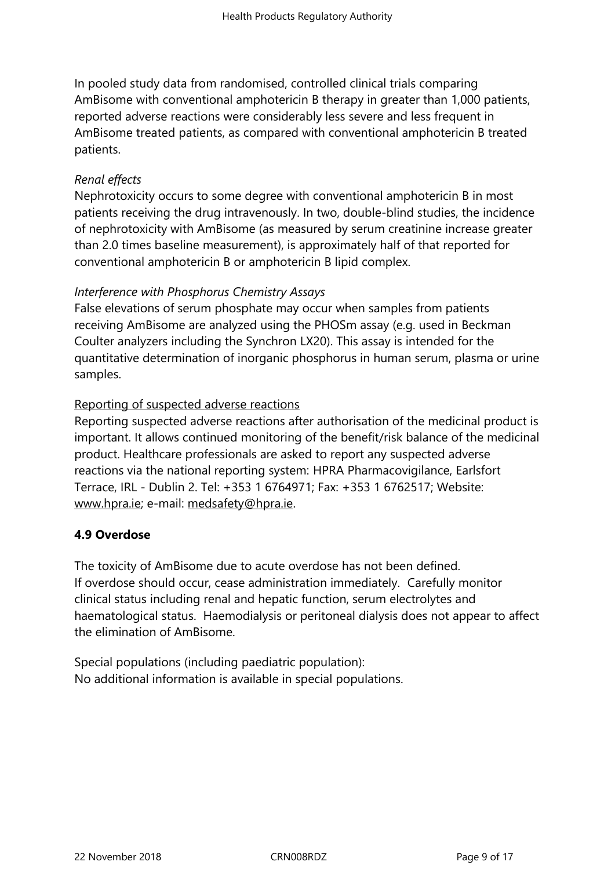In pooled study data from randomised, controlled clinical trials comparing AmBisome with conventional amphotericin B therapy in greater than 1,000 patients, reported adverse reactions were considerably less severe and less frequent in AmBisome treated patients, as compared with conventional amphotericin B treated patients.

# *Renal effects*

Nephrotoxicity occurs to some degree with conventional amphotericin B in most patients receiving the drug intravenously. In two, double-blind studies, the incidence of nephrotoxicity with AmBisome (as measured by serum creatinine increase greater than 2.0 times baseline measurement), is approximately half of that reported for conventional amphotericin B or amphotericin B lipid complex.

# *Interference with Phosphorus Chemistry Assays*

False elevations of serum phosphate may occur when samples from patients receiving AmBisome are analyzed using the PHOSm assay (e.g. used in Beckman Coulter analyzers including the Synchron LX20). This assay is intended for the quantitative determination of inorganic phosphorus in human serum, plasma or urine samples.

# Reporting of suspected adverse reactions

Reporting suspected adverse reactions after authorisation of the medicinal product is important. It allows continued monitoring of the benefit/risk balance of the medicinal product. Healthcare professionals are asked to report any suspected adverse reactions via the national reporting system: HPRA Pharmacovigilance, Earlsfort Terrace, IRL - Dublin 2. Tel: +353 1 6764971; Fax: +353 1 6762517; Website: www.hpra.ie; e-mail: medsafety@hpra.ie.

# **4.9 Overdose**

[The toxicity o](http://www.hpra.ie/)f AmBi[some due to acute o](mailto:medsafety@hpra.ie)verdose has not been defined. If overdose should occur, cease administration immediately. Carefully monitor clinical status including renal and hepatic function, serum electrolytes and haematological status. Haemodialysis or peritoneal dialysis does not appear to affect the elimination of AmBisome.

Special populations (including paediatric population): No additional information is available in special populations.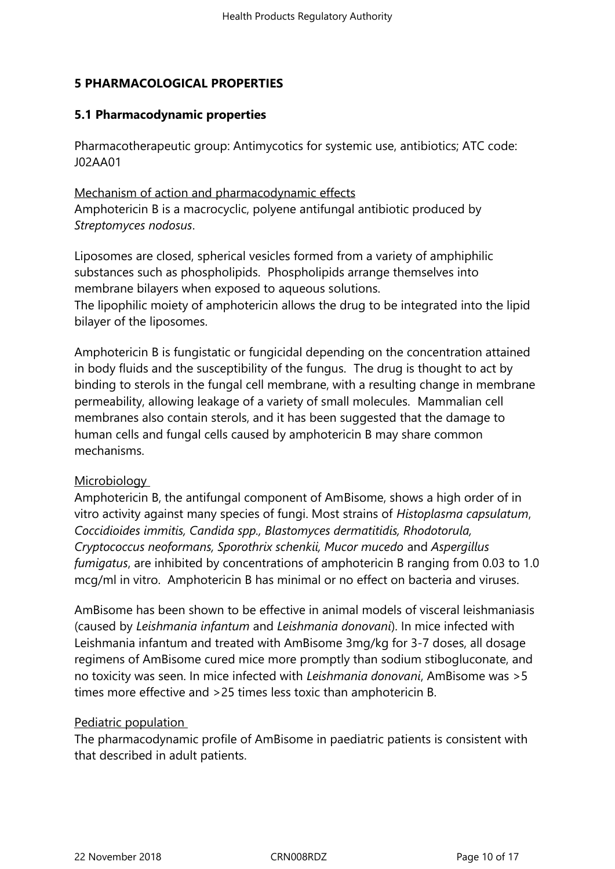# **5 PHARMACOLOGICAL PROPERTIES**

## **5.1 Pharmacodynamic properties**

Pharmacotherapeutic group: Antimycotics for systemic use, antibiotics; ATC code: J02AA01

Mechanism of action and pharmacodynamic effects Amphotericin B is a macrocyclic, polyene antifungal antibiotic produced by *Streptomyces nodosus*.

Liposomes are closed, spherical vesicles formed from a variety of amphiphilic substances such as phospholipids. Phospholipids arrange themselves into membrane bilayers when exposed to aqueous solutions.

The lipophilic moiety of amphotericin allows the drug to be integrated into the lipid bilayer of the liposomes.

Amphotericin B is fungistatic or fungicidal depending on the concentration attained in body fluids and the susceptibility of the fungus. The drug is thought to act by binding to sterols in the fungal cell membrane, with a resulting change in membrane permeability, allowing leakage of a variety of small molecules. Mammalian cell membranes also contain sterols, and it has been suggested that the damage to human cells and fungal cells caused by amphotericin B may share common mechanisms.

#### **Microbiology**

Amphotericin B, the antifungal component of AmBisome, shows a high order of in vitro activity against many species of fungi. Most strains of *Histoplasma capsulatum*, *Coccidioides immitis, Candida spp., Blastomyces dermatitidis, Rhodotorula, Cryptococcus neoformans, Sporothrix schenkii, Mucor mucedo* and *Aspergillus fumigatus*, are inhibited by concentrations of amphotericin B ranging from 0.03 to 1.0 mcg/ml in vitro. Amphotericin B has minimal or no effect on bacteria and viruses.

AmBisome has been shown to be effective in animal models of visceral leishmaniasis (caused by *Leishmania infantum* and *Leishmania donovani*). In mice infected with Leishmania infantum and treated with AmBisome 3mg/kg for 3-7 doses, all dosage regimens of AmBisome cured mice more promptly than sodium stibogluconate, and no toxicity was seen. In mice infected with *Leishmania donovani*, AmBisome was >5 times more effective and >25 times less toxic than amphotericin B.

#### Pediatric population

The pharmacodynamic profile of AmBisome in paediatric patients is consistent with that described in adult patients.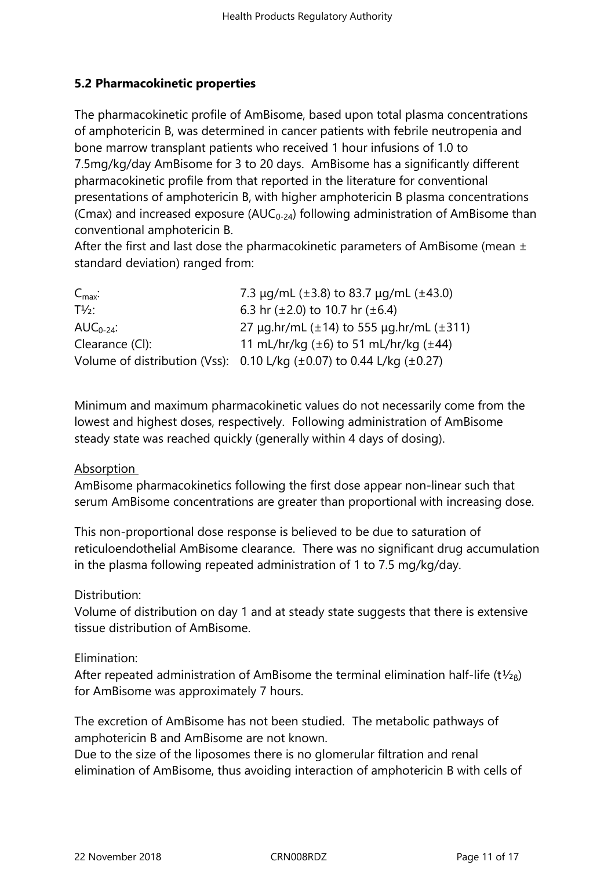# **5.2 Pharmacokinetic properties**

The pharmacokinetic profile of AmBisome, based upon total plasma concentrations of amphotericin B, was determined in cancer patients with febrile neutropenia and bone marrow transplant patients who received 1 hour infusions of 1.0 to 7.5mg/kg/day AmBisome for 3 to 20 days. AmBisome has a significantly different pharmacokinetic profile from that reported in the literature for conventional presentations of amphotericin B, with higher amphotericin B plasma concentrations (Cmax) and increased exposure ( $AUC_{0-24}$ ) following administration of AmBisome than conventional amphotericin B.

After the first and last dose the pharmacokinetic parameters of AmBisome (mean  $\pm$ standard deviation) ranged from:

| $C_{\text{max}}$ : | 7.3 $\mu$ g/mL (±3.8) to 83.7 $\mu$ g/mL (±43.0)                                     |
|--------------------|--------------------------------------------------------------------------------------|
| $T\frac{1}{2}$ :   | 6.3 hr $(\pm 2.0)$ to 10.7 hr $(\pm 6.4)$                                            |
| $AUC_{0-24}$ :     | 27 $\mu$ g.hr/mL ( $\pm$ 14) to 555 $\mu$ g.hr/mL ( $\pm$ 311)                       |
| Clearance (CI):    | 11 mL/hr/kg $(\pm 6)$ to 51 mL/hr/kg $(\pm 44)$                                      |
|                    | Volume of distribution (Vss): $0.10$ L/kg ( $\pm 0.07$ ) to 0.44 L/kg ( $\pm 0.27$ ) |

Minimum and maximum pharmacokinetic values do not necessarily come from the lowest and highest doses, respectively. Following administration of AmBisome steady state was reached quickly (generally within 4 days of dosing).

#### Absorption

AmBisome pharmacokinetics following the first dose appear non-linear such that serum AmBisome concentrations are greater than proportional with increasing dose.

This non-proportional dose response is believed to be due to saturation of reticuloendothelial AmBisome clearance. There was no significant drug accumulation in the plasma following repeated administration of 1 to 7.5 mg/kg/day.

# Distribution:

Volume of distribution on day 1 and at steady state suggests that there is extensive tissue distribution of AmBisome.

Elimination:

After repeated administration of AmBisome the terminal elimination half-life (t $\frac{1}{2}$ <sub>R</sub>) for AmBisome was approximately 7 hours.

The excretion of AmBisome has not been studied. The metabolic pathways of amphotericin B and AmBisome are not known.

Due to the size of the liposomes there is no glomerular filtration and renal elimination of AmBisome, thus avoiding interaction of amphotericin B with cells of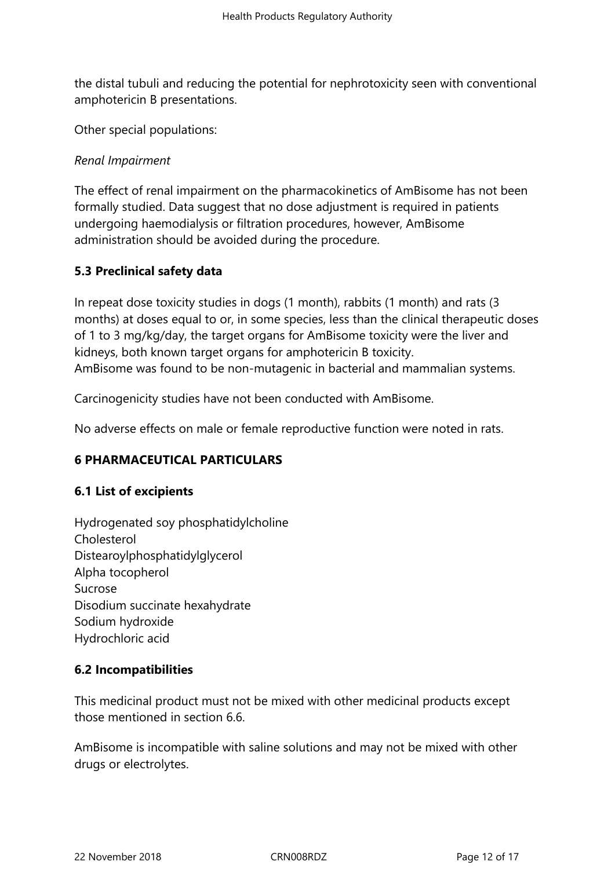the distal tubuli and reducing the potential for nephrotoxicity seen with conventional amphotericin B presentations.

Other special populations:

### *Renal Impairment*

The effect of renal impairment on the pharmacokinetics of AmBisome has not been formally studied. Data suggest that no dose adjustment is required in patients undergoing haemodialysis or filtration procedures, however, AmBisome administration should be avoided during the procedure.

# **5.3 Preclinical safety data**

In repeat dose toxicity studies in dogs (1 month), rabbits (1 month) and rats (3 months) at doses equal to or, in some species, less than the clinical therapeutic doses of 1 to 3 mg/kg/day, the target organs for AmBisome toxicity were the liver and kidneys, both known target organs for amphotericin B toxicity. AmBisome was found to be non-mutagenic in bacterial and mammalian systems.

Carcinogenicity studies have not been conducted with AmBisome.

No adverse effects on male or female reproductive function were noted in rats.

# **6 PHARMACEUTICAL PARTICULARS**

# **6.1 List of excipients**

Hydrogenated soy phosphatidylcholine Cholesterol Distearoylphosphatidylglycerol Alpha tocopherol Sucrose Disodium succinate hexahydrate Sodium hydroxide Hydrochloric acid

# **6.2 Incompatibilities**

This medicinal product must not be mixed with other medicinal products except those mentioned in section 6.6.

AmBisome is incompatible with saline solutions and may not be mixed with other drugs or electrolytes.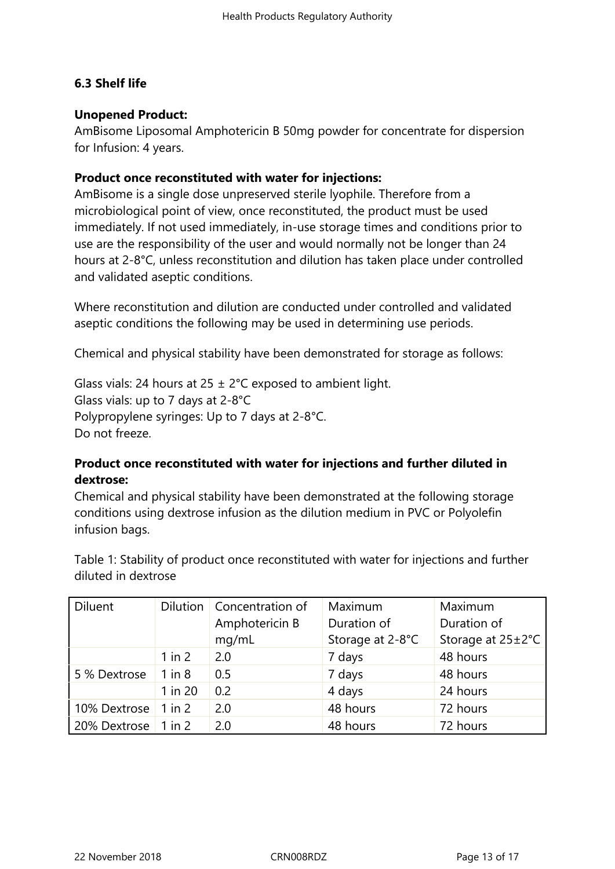# **6.3 Shelf life**

### **Unopened Product:**

AmBisome Liposomal Amphotericin B 50mg powder for concentrate for dispersion for Infusion: 4 years.

### **Product once reconstituted with water for injections:**

AmBisome is a single dose unpreserved sterile lyophile. Therefore from a microbiological point of view, once reconstituted, the product must be used immediately. If not used immediately, in-use storage times and conditions prior to use are the responsibility of the user and would normally not be longer than 24 hours at 2-8°C, unless reconstitution and dilution has taken place under controlled and validated aseptic conditions.

Where reconstitution and dilution are conducted under controlled and validated aseptic conditions the following may be used in determining use periods.

Chemical and physical stability have been demonstrated for storage as follows:

Glass vials: 24 hours at 25  $\pm$  2°C exposed to ambient light. Glass vials: up to 7 days at 2-8°C Polypropylene syringes: Up to 7 days at 2-8°C. Do not freeze.

# **Product once reconstituted with water for injections and further diluted in dextrose:**

Chemical and physical stability have been demonstrated at the following storage conditions using dextrose infusion as the dilution medium in PVC or Polyolefin infusion bags.

Table 1: Stability of product once reconstituted with water for injections and further diluted in dextrose

| <b>Diluent</b> |            | Dilution   Concentration of | Maximum          | Maximum           |  |
|----------------|------------|-----------------------------|------------------|-------------------|--|
|                |            | Amphotericin B              | Duration of      | Duration of       |  |
|                |            | mq/mL                       | Storage at 2-8°C | Storage at 25±2°C |  |
|                | $1$ in $2$ | 2.0                         | 7 days           | 48 hours          |  |
| 5 % Dextrose   | $1$ in $8$ | 0.5                         | 7 days           | 48 hours          |  |
|                | 1 in 20    | 0.2                         | 4 days           | 24 hours          |  |
| 10% Dextrose   | $1$ in $2$ | 2.0                         | 48 hours         | 72 hours          |  |
| 20% Dextrose   | $1$ in $2$ | 2.0                         | 48 hours         | 72 hours          |  |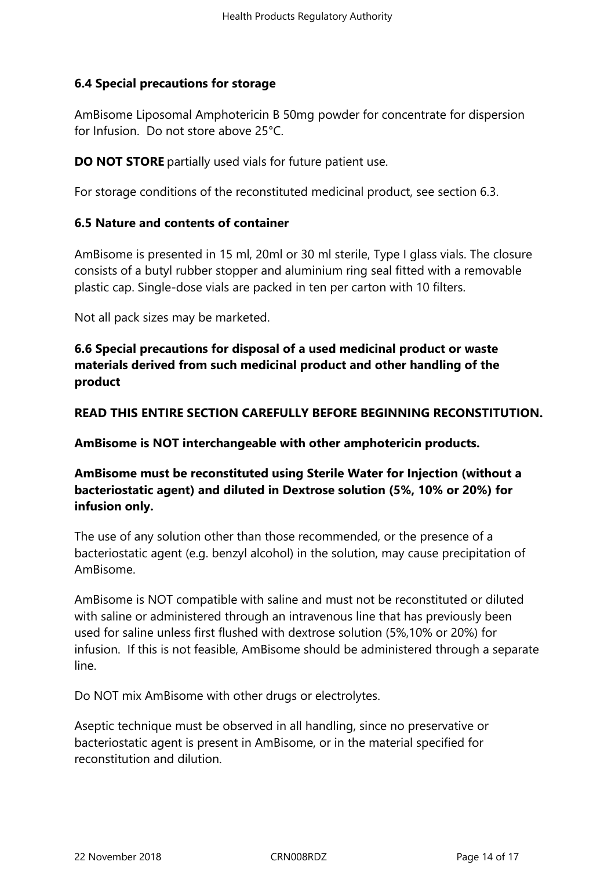# **6.4 Special precautions for storage**

AmBisome Liposomal Amphotericin B 50mg powder for concentrate for dispersion for Infusion. Do not store above 25°C.

**DO NOT STORE** partially used vials for future patient use.

For storage conditions of the reconstituted medicinal product, see section 6.3.

### **6.5 Nature and contents of container**

AmBisome is presented in 15 ml, 20ml or 30 ml sterile, Type I glass vials. The closure consists of a butyl rubber stopper and aluminium ring seal fitted with a removable plastic cap. Single-dose vials are packed in ten per carton with 10 filters.

Not all pack sizes may be marketed.

**6.6 Special precautions for disposal of a used medicinal product or waste materials derived from such medicinal product and other handling of the product**

**READ THIS ENTIRE SECTION CAREFULLY BEFORE BEGINNING RECONSTITUTION.**

**AmBisome is NOT interchangeable with other amphotericin products.**

# **AmBisome must be reconstituted using Sterile Water for Injection (without a bacteriostatic agent) and diluted in Dextrose solution (5%, 10% or 20%) for infusion only.**

The use of any solution other than those recommended, or the presence of a bacteriostatic agent (e.g. benzyl alcohol) in the solution, may cause precipitation of AmBisome.

AmBisome is NOT compatible with saline and must not be reconstituted or diluted with saline or administered through an intravenous line that has previously been used for saline unless first flushed with dextrose solution (5%,10% or 20%) for infusion. If this is not feasible, AmBisome should be administered through a separate line.

Do NOT mix AmBisome with other drugs or electrolytes.

Aseptic technique must be observed in all handling, since no preservative or bacteriostatic agent is present in AmBisome, or in the material specified for reconstitution and dilution.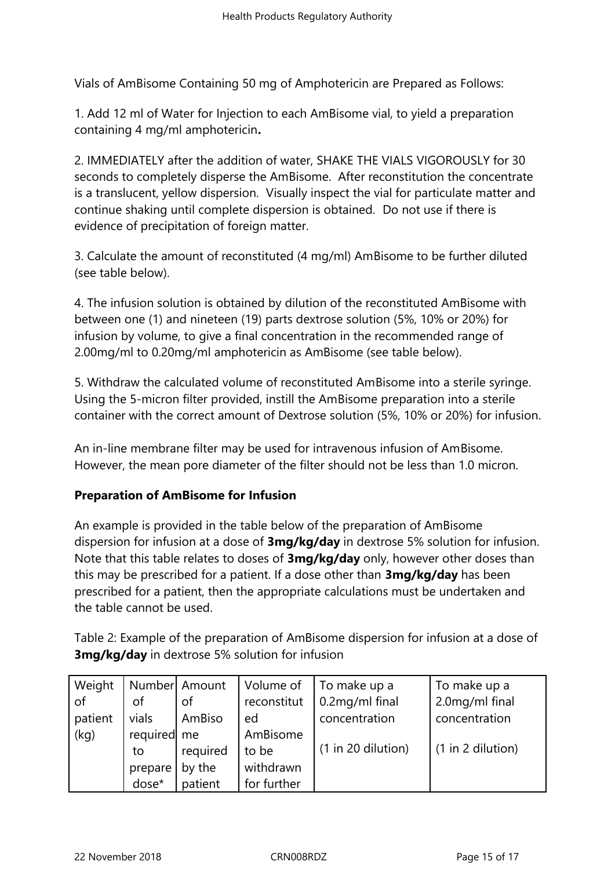Vials of AmBisome Containing 50 mg of Amphotericin are Prepared as Follows:

1. Add 12 ml of Water for Injection to each AmBisome vial, to yield a preparation containing 4 mg/ml amphotericin**.**

2. IMMEDIATELY after the addition of water, SHAKE THE VIALS VIGOROUSLY for 30 seconds to completely disperse the AmBisome. After reconstitution the concentrate is a translucent, yellow dispersion. Visually inspect the vial for particulate matter and continue shaking until complete dispersion is obtained. Do not use if there is evidence of precipitation of foreign matter.

3. Calculate the amount of reconstituted (4 mg/ml) AmBisome to be further diluted (see table below).

4. The infusion solution is obtained by dilution of the reconstituted AmBisome with between one (1) and nineteen (19) parts dextrose solution (5%, 10% or 20%) for infusion by volume, to give a final concentration in the recommended range of 2.00mg/ml to 0.20mg/ml amphotericin as AmBisome (see table below).

5. Withdraw the calculated volume of reconstituted AmBisome into a sterile syringe. Using the 5-micron filter provided, instill the AmBisome preparation into a sterile container with the correct amount of Dextrose solution (5%, 10% or 20%) for infusion.

An in-line membrane filter may be used for intravenous infusion of AmBisome. However, the mean pore diameter of the filter should not be less than 1.0 micron.

# **Preparation of AmBisome for Infusion**

An example is provided in the table below of the preparation of AmBisome dispersion for infusion at a dose of **3mg/kg/day** in dextrose 5% solution for infusion. Note that this table relates to doses of **3mg/kg/day** only, however other doses than this may be prescribed for a patient. If a dose other than **3mg/kg/day** has been prescribed for a patient, then the appropriate calculations must be undertaken and the table cannot be used.

Table 2: Example of the preparation of AmBisome dispersion for infusion at a dose of **3mg/kg/day** in dextrose 5% solution for infusion

| Weight  |             | Number Amount | Volume of   | To make up a       | To make up a      |  |
|---------|-------------|---------------|-------------|--------------------|-------------------|--|
| of      | οf          | οf            | reconstitut | 0.2mg/ml final     | 2.0mg/ml final    |  |
| patient | vials       | AmBiso        | ed          | concentration      | concentration     |  |
| (kg)    | required me |               | AmBisome    |                    |                   |  |
|         | to          | required      | to be       | (1 in 20 dilution) | (1 in 2 dilution) |  |
|         | prepare     | by the        | withdrawn   |                    |                   |  |
|         | dose*       | patient       | for further |                    |                   |  |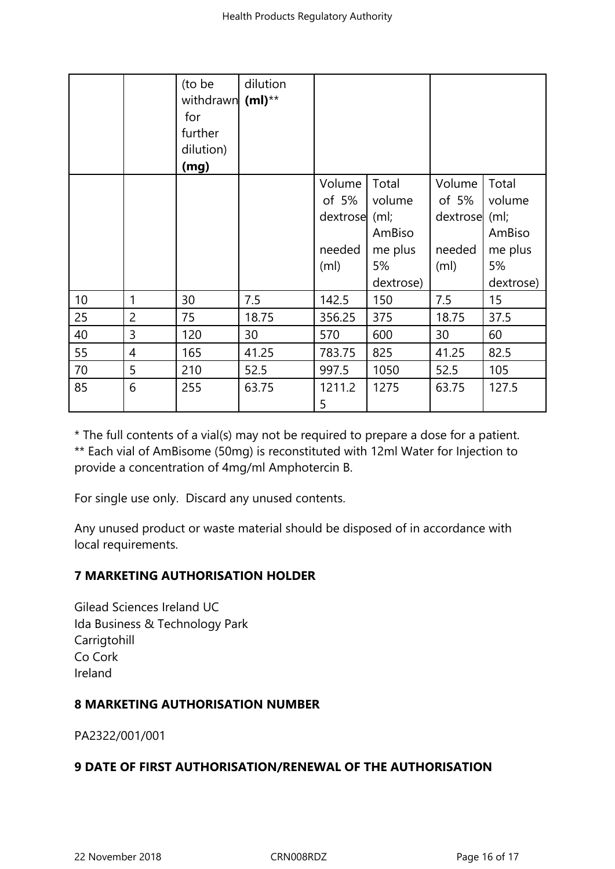|    |                | (to be<br>withdrawn<br>for<br>further<br>dilution)<br>(mg) | dilution<br>$(m!)^{**}$ |                   |           |                   |           |
|----|----------------|------------------------------------------------------------|-------------------------|-------------------|-----------|-------------------|-----------|
|    |                |                                                            |                         | Volume            | Total     | Volume            | Total     |
|    |                |                                                            |                         | of 5%             | volume    | of 5%             | volume    |
|    |                |                                                            |                         | dextrose (ml;     |           | dextrose          | (m)       |
|    |                |                                                            |                         |                   | AmBiso    |                   | AmBiso    |
|    |                |                                                            |                         | needed            | me plus   | needed            | me plus   |
|    |                |                                                            |                         | (m <sub>l</sub> ) | 5%        | (m <sub>l</sub> ) | 5%        |
|    |                |                                                            |                         |                   | dextrose) |                   | dextrose) |
| 10 | 1              | 30                                                         | 7.5                     | 142.5             | 150       | 7.5               | 15        |
| 25 | $\overline{2}$ | 75                                                         | 18.75                   | 356.25            | 375       | 18.75             | 37.5      |
| 40 | 3              | 120                                                        | 30                      | 570               | 600       | 30                | 60        |
| 55 | 4              | 165                                                        | 41.25                   | 783.75            | 825       | 41.25             | 82.5      |
| 70 | 5              | 210                                                        | 52.5                    | 997.5             | 1050      | 52.5              | 105       |
| 85 | 6              | 255                                                        | 63.75                   | 1211.2<br>5       | 1275      | 63.75             | 127.5     |

\* The full contents of a vial(s) may not be required to prepare a dose for a patient. \*\* Each vial of AmBisome (50mg) is reconstituted with 12ml Water for Injection to provide a concentration of 4mg/ml Amphotercin B.

For single use only. Discard any unused contents.

Any unused product or waste material should be disposed of in accordance with local requirements.

# **7 MARKETING AUTHORISATION HOLDER**

Gilead Sciences Ireland UC Ida Business & Technology Park **Carrigtohill** Co Cork Ireland

# **8 MARKETING AUTHORISATION NUMBER**

PA2322/001/001

# **9 DATE OF FIRST AUTHORISATION/RENEWAL OF THE AUTHORISATION**